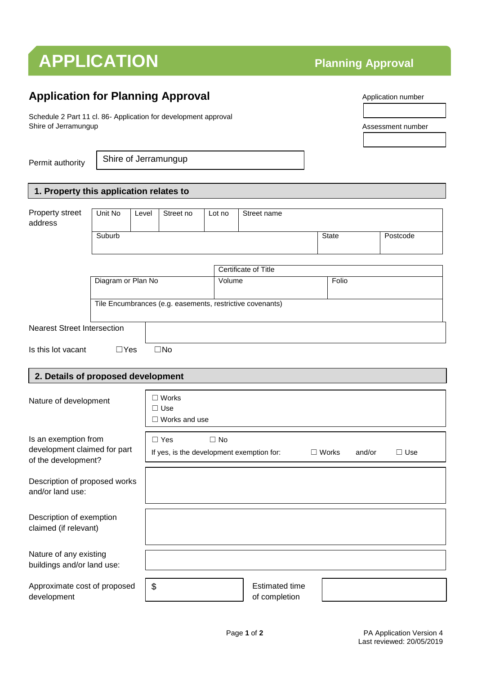## **APPLICATION Planning Approval**

### **Application for Planning Approval**

Schedule 2 Part 11 cl. 86- Application for development approval Shire of Jerramungup

Permit authority

Shire of Jerramungup

#### **1. Property this application relates to**

| Property street<br>address                        | Unit No            | Level | Street no                                                                         | Lot no                                                    | Street name                 |              |          |  |
|---------------------------------------------------|--------------------|-------|-----------------------------------------------------------------------------------|-----------------------------------------------------------|-----------------------------|--------------|----------|--|
|                                                   |                    |       |                                                                                   |                                                           |                             |              |          |  |
|                                                   | Suburb             |       |                                                                                   |                                                           |                             | <b>State</b> | Postcode |  |
|                                                   |                    |       |                                                                                   |                                                           |                             |              |          |  |
|                                                   |                    |       |                                                                                   |                                                           | <b>Certificate of Title</b> |              |          |  |
|                                                   | Diagram or Plan No |       |                                                                                   | Volume                                                    |                             | Folio        |          |  |
|                                                   |                    |       |                                                                                   |                                                           |                             |              |          |  |
|                                                   |                    |       |                                                                                   |                                                           |                             |              |          |  |
|                                                   |                    |       |                                                                                   | Tile Encumbrances (e.g. easements, restrictive covenants) |                             |              |          |  |
| <b>Nearest Street Intersection</b>                |                    |       |                                                                                   |                                                           |                             |              |          |  |
|                                                   |                    |       | $\square$ No                                                                      |                                                           |                             |              |          |  |
| Is this lot vacant                                | $\Box$ Yes         |       |                                                                                   |                                                           |                             |              |          |  |
|                                                   |                    |       |                                                                                   |                                                           |                             |              |          |  |
| 2. Details of proposed development                |                    |       |                                                                                   |                                                           |                             |              |          |  |
|                                                   |                    |       | $\Box$ Works                                                                      |                                                           |                             |              |          |  |
| Nature of development                             |                    |       | $\Box$ Use                                                                        |                                                           |                             |              |          |  |
|                                                   |                    |       | $\Box$ Works and use                                                              |                                                           |                             |              |          |  |
|                                                   |                    |       |                                                                                   |                                                           |                             |              |          |  |
| Is an exemption from                              |                    |       | $\Box$ Yes                                                                        | $\Box$ No                                                 |                             |              |          |  |
| development claimed for part                      |                    |       | If yes, is the development exemption for:<br>$\Box$ Use<br>$\Box$ Works<br>and/or |                                                           |                             |              |          |  |
| of the development?                               |                    |       |                                                                                   |                                                           |                             |              |          |  |
|                                                   |                    |       |                                                                                   |                                                           |                             |              |          |  |
| Description of proposed works<br>and/or land use: |                    |       |                                                                                   |                                                           |                             |              |          |  |
|                                                   |                    |       |                                                                                   |                                                           |                             |              |          |  |
|                                                   |                    |       |                                                                                   |                                                           |                             |              |          |  |
| Description of exemption<br>claimed (if relevant) |                    |       |                                                                                   |                                                           |                             |              |          |  |
|                                                   |                    |       |                                                                                   |                                                           |                             |              |          |  |
|                                                   |                    |       |                                                                                   |                                                           |                             |              |          |  |
| Nature of any existing                            |                    |       |                                                                                   |                                                           |                             |              |          |  |
| buildings and/or land use:                        |                    |       |                                                                                   |                                                           |                             |              |          |  |
| Approximate cost of proposed                      |                    | \$    |                                                                                   |                                                           | <b>Estimated time</b>       |              |          |  |
| development                                       |                    |       |                                                                                   |                                                           | of completion               |              |          |  |

Application number

Assessment number